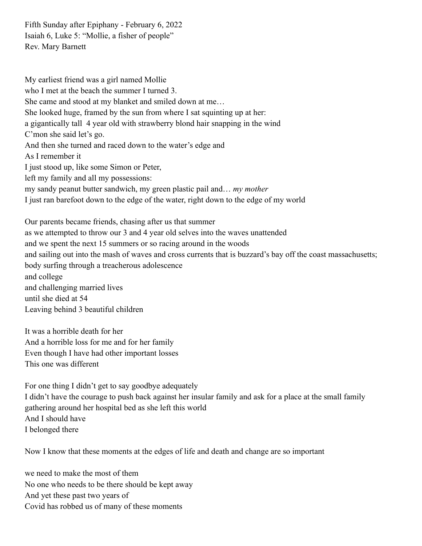Fifth Sunday after Epiphany - February 6, 2022 Isaiah 6, Luke 5: "Mollie, a fisher of people" Rev. Mary Barnett

My earliest friend was a girl named Mollie who I met at the beach the summer I turned 3. She came and stood at my blanket and smiled down at me… She looked huge, framed by the sun from where I sat squinting up at her: a gigantically tall 4 year old with strawberry blond hair snapping in the wind C'mon she said let's go. And then she turned and raced down to the water's edge and As I remember it I just stood up, like some Simon or Peter, left my family and all my possessions: my sandy peanut butter sandwich, my green plastic pail and… *my mother* I just ran barefoot down to the edge of the water, right down to the edge of my world Our parents became friends, chasing after us that summer as we attempted to throw our 3 and 4 year old selves into the waves unattended and we spent the next 15 summers or so racing around in the woods and sailing out into the mash of waves and cross currents that is buzzard's bay off the coast massachusetts;

body surfing through a treacherous adolescence

and college and challenging married lives until she died at 54 Leaving behind 3 beautiful children

It was a horrible death for her And a horrible loss for me and for her family Even though I have had other important losses This one was different

For one thing I didn't get to say goodbye adequately I didn't have the courage to push back against her insular family and ask for a place at the small family gathering around her hospital bed as she left this world And I should have I belonged there

Now I know that these moments at the edges of life and death and change are so important

we need to make the most of them No one who needs to be there should be kept away And yet these past two years of Covid has robbed us of many of these moments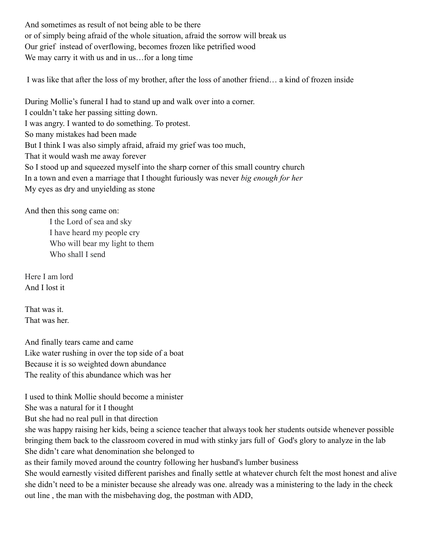And sometimes as result of not being able to be there or of simply being afraid of the whole situation, afraid the sorrow will break us Our grief instead of overflowing, becomes frozen like petrified wood We may carry it with us and in us... for a long time

I was like that after the loss of my brother, after the loss of another friend… a kind of frozen inside

During Mollie's funeral I had to stand up and walk over into a corner. I couldn't take her passing sitting down. I was angry. I wanted to do something. To protest. So many mistakes had been made But I think I was also simply afraid, afraid my grief was too much, That it would wash me away forever So I stood up and squeezed myself into the sharp corner of this small country church In a town and even a marriage that I thought furiously was never *big enough for her* My eyes as dry and unyielding as stone

And then this song came on:

I the Lord of sea and sky I have heard my people cry Who will bear my light to them Who shall I send

Here I am lord And I lost it

That was it. That was her.

And finally tears came and came Like water rushing in over the top side of a boat Because it is so weighted down abundance The reality of this abundance which was her

I used to think Mollie should become a minister

She was a natural for it I thought

But she had no real pull in that direction

she was happy raising her kids, being a science teacher that always took her students outside whenever possible bringing them back to the classroom covered in mud with stinky jars full of God's glory to analyze in the lab She didn't care what denomination she belonged to

as their family moved around the country following her husband's lumber business

She would earnestly visited different parishes and finally settle at whatever church felt the most honest and alive she didn't need to be a minister because she already was one. already was a ministering to the lady in the check out line , the man with the misbehaving dog, the postman with ADD,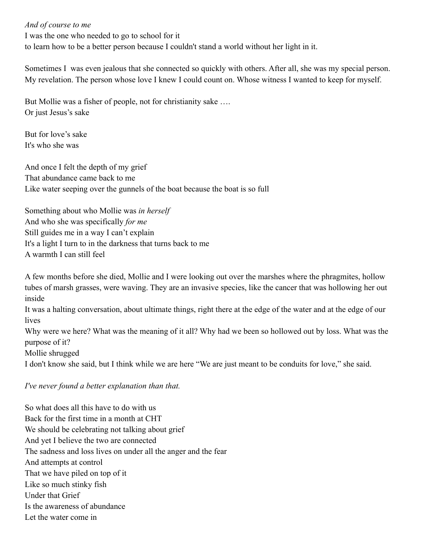*And of course to me*

I was the one who needed to go to school for it to learn how to be a better person because I couldn't stand a world without her light in it.

Sometimes I was even jealous that she connected so quickly with others. After all, she was my special person. My revelation. The person whose love I knew I could count on. Whose witness I wanted to keep for myself.

But Mollie was a fisher of people, not for christianity sake …. Or just Jesus's sake

But for love's sake It's who she was

And once I felt the depth of my grief That abundance came back to me Like water seeping over the gunnels of the boat because the boat is so full

Something about who Mollie was *in herself* And who she was specifically *for me* Still guides me in a way I can't explain It's a light I turn to in the darkness that turns back to me A warmth I can still feel

A few months before she died, Mollie and I were looking out over the marshes where the phragmites, hollow tubes of marsh grasses, were waving. They are an invasive species, like the cancer that was hollowing her out inside

It was a halting conversation, about ultimate things, right there at the edge of the water and at the edge of our lives

Why were we here? What was the meaning of it all? Why had we been so hollowed out by loss. What was the purpose of it?

Mollie shrugged

I don't know she said, but I think while we are here "We are just meant to be conduits for love," she said.

## *I've never found a better explanation than that.*

So what does all this have to do with us Back for the first time in a month at CHT We should be celebrating not talking about grief And yet I believe the two are connected The sadness and loss lives on under all the anger and the fear And attempts at control That we have piled on top of it Like so much stinky fish Under that Grief Is the awareness of abundance Let the water come in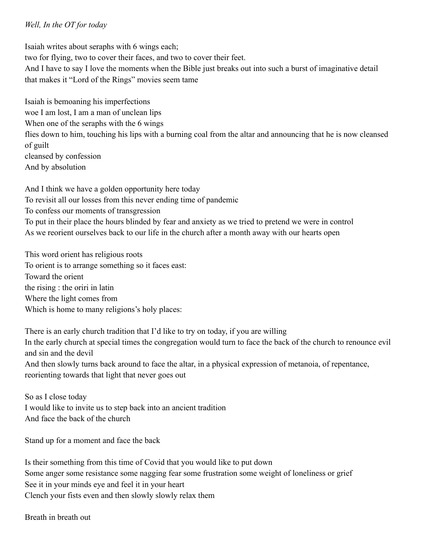## *Well, In the OT for today*

Isaiah writes about seraphs with 6 wings each; two for flying, two to cover their faces, and two to cover their feet. And I have to say I love the moments when the Bible just breaks out into such a burst of imaginative detail that makes it "Lord of the Rings" movies seem tame

Isaiah is bemoaning his imperfections woe I am lost, I am a man of unclean lips When one of the seraphs with the 6 wings flies down to him, touching his lips with a burning coal from the altar and announcing that he is now cleansed of guilt cleansed by confession And by absolution

And I think we have a golden opportunity here today To revisit all our losses from this never ending time of pandemic To confess our moments of transgression To put in their place the hours blinded by fear and anxiety as we tried to pretend we were in control As we reorient ourselves back to our life in the church after a month away with our hearts open

This word orient has religious roots To orient is to arrange something so it faces east: Toward the orient the rising : the oriri in latin Where the light comes from Which is home to many religions's holy places:

There is an early church tradition that I'd like to try on today, if you are willing In the early church at special times the congregation would turn to face the back of the church to renounce evil and sin and the devil And then slowly turns back around to face the altar, in a physical expression of metanoia, of repentance, reorienting towards that light that never goes out

So as I close today I would like to invite us to step back into an ancient tradition And face the back of the church

Stand up for a moment and face the back

Is their something from this time of Covid that you would like to put down Some anger some resistance some nagging fear some frustration some weight of loneliness or grief See it in your minds eye and feel it in your heart Clench your fists even and then slowly slowly relax them

Breath in breath out